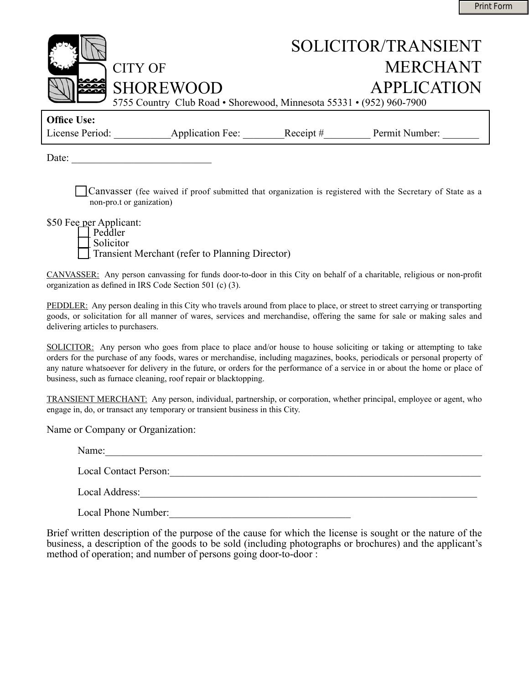

| <b>Office Use:</b> |                         |             |                |  |
|--------------------|-------------------------|-------------|----------------|--|
| License Period:    | <b>Application Fee:</b> | Receipt $#$ | Permit Number: |  |

Date:

\_\_Canvasser (fee waived if proof submitted that organization is registered with the Secretary of State as a non-pro.t or ganization)

\$50 Fee per Applicant:

Peddler<br>Solicitor Transient Merchant (refer to Planning Director)

CANVASSER: Any person canvassing for funds door-to-door in this City on behalf of a charitable, religious or non-profit organization as defined in IRS Code Section 501 (c) (3).

PEDDLER: Any person dealing in this City who travels around from place to place, or street to street carrying or transporting goods, or solicitation for all manner of wares, services and merchandise, offering the same for sale or making sales and delivering articles to purchasers.

SOLICITOR: Any person who goes from place to place and/or house to house soliciting or taking or attempting to take orders for the purchase of any foods, wares or merchandise, including magazines, books, periodicals or personal property of any nature whatsoever for delivery in the future, or orders for the performance of a service in or about the home or place of business, such as furnace cleaning, roof repair or blacktopping.

TRANSIENT MERCHANT: Any person, individual, partnership, or corporation, whether principal, employee or agent, who engage in, do, or transact any temporary or transient business in this City.

Name or Company or Organization:

Name:\_\_\_\_\_\_\_\_\_\_\_\_\_\_\_\_\_\_\_\_\_\_\_\_\_\_\_\_\_\_\_\_\_\_\_\_\_\_\_\_\_\_\_\_\_\_\_\_\_\_\_\_\_\_\_\_\_\_\_\_\_\_\_\_\_\_\_\_\_\_\_\_\_

Local Contact Person:\_\_\_\_\_\_\_\_\_\_\_\_\_\_\_\_\_\_\_\_\_\_\_\_\_\_\_\_\_\_\_\_\_\_\_\_\_\_\_\_\_\_\_\_\_\_\_\_\_\_\_\_\_\_\_\_\_\_\_\_

Local Address:\_\_\_\_\_\_\_\_\_\_\_\_\_\_\_\_\_\_\_\_\_\_\_\_\_\_\_\_\_\_\_\_\_\_\_\_\_\_\_\_\_\_\_\_\_\_\_\_\_\_\_\_\_\_\_\_\_\_\_\_\_\_\_\_\_

Local Phone Number:\_\_\_\_\_\_\_\_\_\_\_\_\_\_\_\_\_\_\_\_\_\_\_\_\_\_\_\_\_\_\_\_\_\_\_

Brief written description of the purpose of the cause for which the license is sought or the nature of the business, a description of the goods to be sold (including photographs or brochures) and the applicant's method of operation; and number of persons going door-to-door :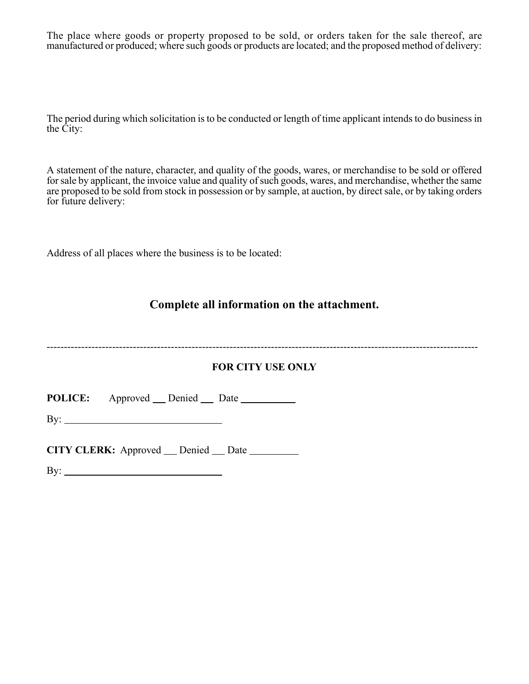The place where goods or property proposed to be sold, or orders taken for the sale thereof, are manufactured or produced; where such goods or products are located; and the proposed method of delivery:

The period during which solicitation is to be conducted or length of time applicant intends to do business in the City:

A statement of the nature, character, and quality of the goods, wares, or merchandise to be sold or offered for sale by applicant, the invoice value and quality of such goods, wares, and merchandise, whether the same are proposed to be sold from stock in possession or by sample, at auction, by direct sale, or by taking orders for future delivery:

Address of all places where the business is to be located:

# **Complete all information on the attachment.**

-----------------------------------------------------------------------------------------------------------------------------

## **FOR CITY USE ONLY**

**POLICE:** Approved Denied Date

By:

 $\mathcal{L}^{\mathcal{L}}$ l.

**CITY CLERK:** Approved Denied Date

 $\mathbf{B} \mathbf{y}$ :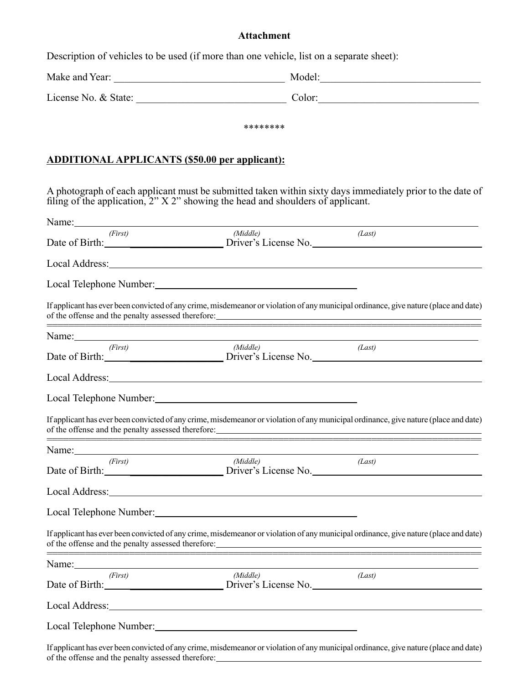# **Attachment**

Description of vehicles to be used (if more than one vehicle, list on a separate sheet):

|                                                                                                                                                                                                                                                                                                                                                       | ******** |                                                                                                                                                                                                                                |
|-------------------------------------------------------------------------------------------------------------------------------------------------------------------------------------------------------------------------------------------------------------------------------------------------------------------------------------------------------|----------|--------------------------------------------------------------------------------------------------------------------------------------------------------------------------------------------------------------------------------|
|                                                                                                                                                                                                                                                                                                                                                       |          |                                                                                                                                                                                                                                |
| <b>ADDITIONAL APPLICANTS (\$50.00 per applicant):</b>                                                                                                                                                                                                                                                                                                 |          |                                                                                                                                                                                                                                |
| filing of the application, $2^{\prime\prime}$ X $2^{\prime\prime}$ showing the head and shoulders of applicant.                                                                                                                                                                                                                                       |          | A photograph of each applicant must be submitted taken within sixty days immediately prior to the date of                                                                                                                      |
| Name: Name and the service of the service of the service of the service of the service of the service of the service of the service of the service of the service of the service of the service of the service of the service                                                                                                                         |          |                                                                                                                                                                                                                                |
| (First)                                                                                                                                                                                                                                                                                                                                               | (Middle) | (Last)<br>Date of Birth: <u>California Driver's</u> License No.                                                                                                                                                                |
|                                                                                                                                                                                                                                                                                                                                                       |          |                                                                                                                                                                                                                                |
| Local Telephone Number: 1997                                                                                                                                                                                                                                                                                                                          |          |                                                                                                                                                                                                                                |
|                                                                                                                                                                                                                                                                                                                                                       |          | If applicant has ever been convicted of any crime, misdemeanor or violation of any municipal ordinance, give nature (place and date)                                                                                           |
| <u> 1989 - Johann John Harry Harry Harry Harry Harry Harry Harry Harry Harry Harry Harry Harry Harry Harry Harry</u><br>Name: Name and the service of the service of the service of the service of the service of the service of the service of the service of the service of the service of the service of the service of the service of the service |          |                                                                                                                                                                                                                                |
| (First)                                                                                                                                                                                                                                                                                                                                               | (Middle) | (Last)<br>Date of Birth: <u>Driver's License</u> No.                                                                                                                                                                           |
|                                                                                                                                                                                                                                                                                                                                                       |          |                                                                                                                                                                                                                                |
| Local Telephone Number: 1997                                                                                                                                                                                                                                                                                                                          |          |                                                                                                                                                                                                                                |
|                                                                                                                                                                                                                                                                                                                                                       |          | If applicant has ever been convicted of any crime, misdemeanor or violation of any municipal ordinance, give nature (place and date)                                                                                           |
| Name:                                                                                                                                                                                                                                                                                                                                                 |          |                                                                                                                                                                                                                                |
| (First)                                                                                                                                                                                                                                                                                                                                               | (Middle) | (Last)<br>Date of Birth: 2008 2009 Driver's License No.                                                                                                                                                                        |
|                                                                                                                                                                                                                                                                                                                                                       |          |                                                                                                                                                                                                                                |
| Local Telephone Number: 1997                                                                                                                                                                                                                                                                                                                          |          |                                                                                                                                                                                                                                |
| of the offense and the penalty assessed therefore:                                                                                                                                                                                                                                                                                                    |          | If applicant has ever been convicted of any crime, misdemeanor or violation of any municipal ordinance, give nature (place and date)                                                                                           |
| Name: Name:                                                                                                                                                                                                                                                                                                                                           |          |                                                                                                                                                                                                                                |
| (First)                                                                                                                                                                                                                                                                                                                                               | (Middle) | (Last)                                                                                                                                                                                                                         |
|                                                                                                                                                                                                                                                                                                                                                       |          | Local Address: Local Address: Local Address: Local Address: Local Address: Local Address: Local Address: Local Address: Local Address: Local Address: Local Address: Local Address: Local Address: Local Address: Local Addres |
| Local Telephone Number:                                                                                                                                                                                                                                                                                                                               |          |                                                                                                                                                                                                                                |

If applicant has ever been convicted of any crime, misdemeanor or violation of any municipal ordinance, give nature (place and date) of the offense and the penalty assessed therefore: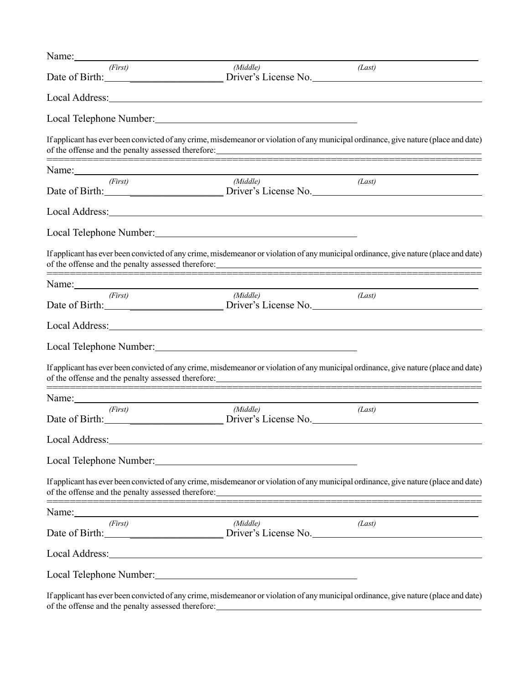| Name:                                                                                                                                                                                                                          |                                                                                                                                                                                                                                                  |        |
|--------------------------------------------------------------------------------------------------------------------------------------------------------------------------------------------------------------------------------|--------------------------------------------------------------------------------------------------------------------------------------------------------------------------------------------------------------------------------------------------|--------|
| (First)                                                                                                                                                                                                                        | (Middle)                                                                                                                                                                                                                                         | (Last) |
|                                                                                                                                                                                                                                |                                                                                                                                                                                                                                                  |        |
|                                                                                                                                                                                                                                |                                                                                                                                                                                                                                                  |        |
|                                                                                                                                                                                                                                | If applicant has ever been convicted of any crime, misdemeanor or violation of any municipal ordinance, give nature (place and date)                                                                                                             |        |
|                                                                                                                                                                                                                                |                                                                                                                                                                                                                                                  |        |
| (First)                                                                                                                                                                                                                        | (Middle)<br>Date of Birth: <u>Community of Birth Community of Birthermann Briver's</u> License No.                                                                                                                                               | (Last) |
|                                                                                                                                                                                                                                | Local Address: Local Address: Local Address: Local Address: Local Address: Local Address: Local Address: Local Address: Local Address: Local Address: Local Address: Local Address: Local Address: Local Address: Local Addres                   |        |
|                                                                                                                                                                                                                                |                                                                                                                                                                                                                                                  |        |
|                                                                                                                                                                                                                                | If applicant has ever been convicted of any crime, misdemeanor or violation of any municipal ordinance, give nature (place and date)                                                                                                             |        |
|                                                                                                                                                                                                                                | Name: Name: Name: Name: Name: Name: Name: Name: Name: Name: Name: Name: Name: Name: Name: Name: Name: Name: Name: Name: Name: Name: Name: Name: Name: Name: Name: Name: Name: Name: Name: Name: Name: Name: Name: Name: Name:                    |        |
| (First)                                                                                                                                                                                                                        | (Middle)<br>Date of Birth: <u>Charles Community</u> Driver's License No.                                                                                                                                                                         | (Last) |
|                                                                                                                                                                                                                                |                                                                                                                                                                                                                                                  |        |
|                                                                                                                                                                                                                                | Local Telephone Number: 1997                                                                                                                                                                                                                     |        |
|                                                                                                                                                                                                                                | If applicant has ever been convicted of any crime, misdemeanor or violation of any municipal ordinance, give nature (place and date)                                                                                                             |        |
| Name: Name and the state of the state of the state of the state of the state of the state of the state of the state of the state of the state of the state of the state of the state of the state of the state of the state of |                                                                                                                                                                                                                                                  |        |
| (First)                                                                                                                                                                                                                        | (Middle)<br>Date of Birth: <u>Community of Birth Community of Birth Community of Birth Community of Birth Community of Birth Community of Birth Community of Birth Community of Birth Community of Birth Community of Birth Community of Bir</u> | (Last) |
| Local Address:                                                                                                                                                                                                                 | <u> 1989 - Johann Stein, mars an deutscher Stein und der Stein und der Stein und der Stein und der Stein und der</u>                                                                                                                             |        |
|                                                                                                                                                                                                                                | Local Telephone Number: New York 1988                                                                                                                                                                                                            |        |
|                                                                                                                                                                                                                                | If applicant has ever been convicted of any crime, misdemeanor or violation of any municipal ordinance, give nature (place and date)<br>of the offense and the penalty assessed therefore:                                                       |        |
| Name:                                                                                                                                                                                                                          |                                                                                                                                                                                                                                                  |        |
| (First)                                                                                                                                                                                                                        | (Middle)<br>Date of Birth: Driver's License No.                                                                                                                                                                                                  | (Last) |
| Local Address:                                                                                                                                                                                                                 |                                                                                                                                                                                                                                                  |        |
|                                                                                                                                                                                                                                |                                                                                                                                                                                                                                                  |        |
|                                                                                                                                                                                                                                |                                                                                                                                                                                                                                                  |        |

If applicant has ever been convicted of any crime, misdemeanor or violation of any municipal ordinance, give nature (place and date) of the offense and the penalty assessed therefore:

 $\frac{1}{\sqrt{2}}$